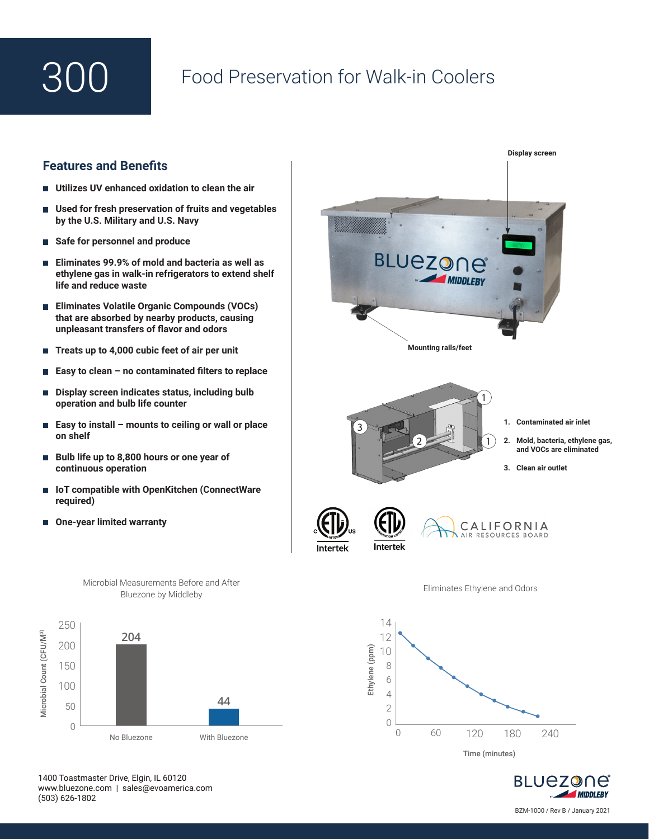## Food Preservation for Walk-in Coolers

## **Features and Benefits**

- **Utilizes UV enhanced oxidation to clean the air**
- **Used for fresh preservation of fruits and vegetables**  П **by the U.S. Military and U.S. Navy**
- **Safe for personnel and produce**
- **Eliminates 99.9% of mold and bacteria as well as ethylene gas in walk-in refrigerators to extend shelf life and reduce waste**
- **Eliminates Volatile Organic Compounds (VOCs) that are absorbed by nearby products, causing unpleasant transfers of flavor and odors**
- **Treats up to 4,000 cubic feet of air per unit**  П
- **Easy to clean no contaminated filters to replace**
- **Display screen indicates status, including bulb**  П **operation and bulb life counter**
- **Easy to install mounts to ceiling or wall or place on shelf**
- **Bulb life up to 8,800 hours or one year of continuous operation**
- IoT compatible with OpenKitchen (ConnectWare **required)**
- **One-year limited warranty**





Microbial Measurements Before and After Bluezone by Middleby

1400 Toastmaster Drive, Elgin, IL 60120 www.bluezone.com | sales@evoamerica.com (503) 626-1802

BLUEZONE **MIDDLEBY** 

Time (minutes)

0 60 120 180 240

4 2  $\bigcap$ 

BZM-1000 / Rev B / January 2021